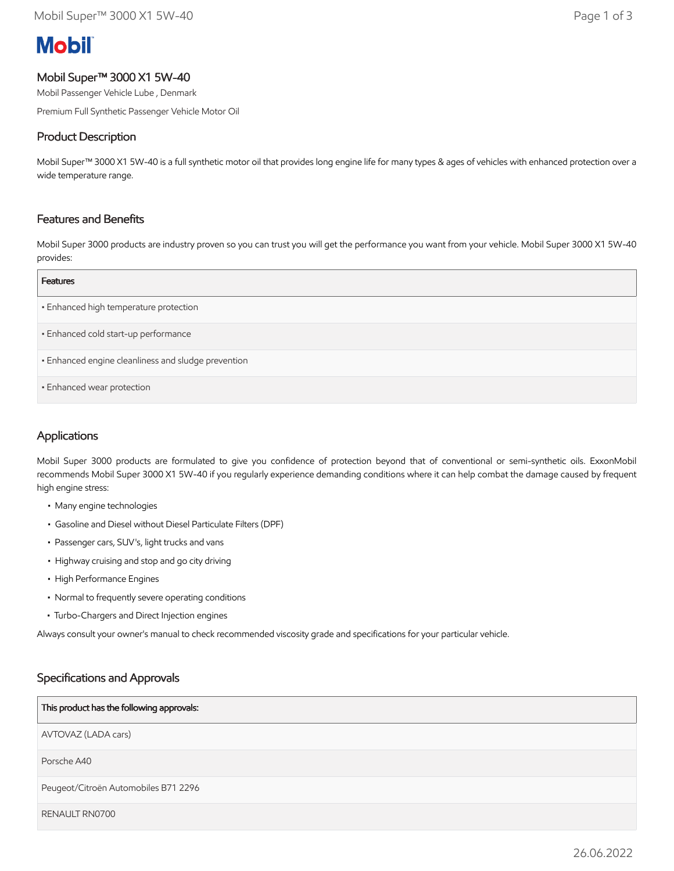# **Mobil**

#### Mobil Super™ 3000 X1 5W-40

Mobil Passenger Vehicle Lube , Denmark

Premium Full Synthetic Passenger Vehicle Motor Oil

#### Product Description

Mobil Super™ 3000 X1 5W-40 is a full synthetic motor oil that provides long engine life for many types & ages of vehicles with enhanced protection over a wide temperature range.

#### Features and Benefits

Mobil Super 3000 products are industry proven so you can trust you will get the performance you want from your vehicle. Mobil Super 3000 X1 5W-40 provides:

| <b>Features</b>                                     |
|-----------------------------------------------------|
| • Enhanced high temperature protection              |
| · Enhanced cold start-up performance                |
| · Enhanced engine cleanliness and sludge prevention |
| · Enhanced wear protection                          |

### Applications

Mobil Super 3000 products are formulated to give you confidence of protection beyond that of conventional or semi-synthetic oils. ExxonMobil recommends Mobil Super 3000 X1 5W-40 if you regularly experience demanding conditions where it can help combat the damage caused by frequent high engine stress:

- Many engine technologies
- Gasoline and Diesel without Diesel Particulate Filters (DPF)
- Passenger cars, SUV's, light trucks and vans
- Highway cruising and stop and go city driving
- High Performance Engines
- Normal to frequently severe operating conditions
- Turbo-Chargers and Direct Injection engines

Always consult your owner's manual to check recommended viscosity grade and specifications for your particular vehicle.

#### Specifications and Approvals

#### This product has the following approvals:

AVTOVAZ (LADA cars)

Porsche A40

Peugeot/Citroën Automobiles B71 2296

RENAULT RN0700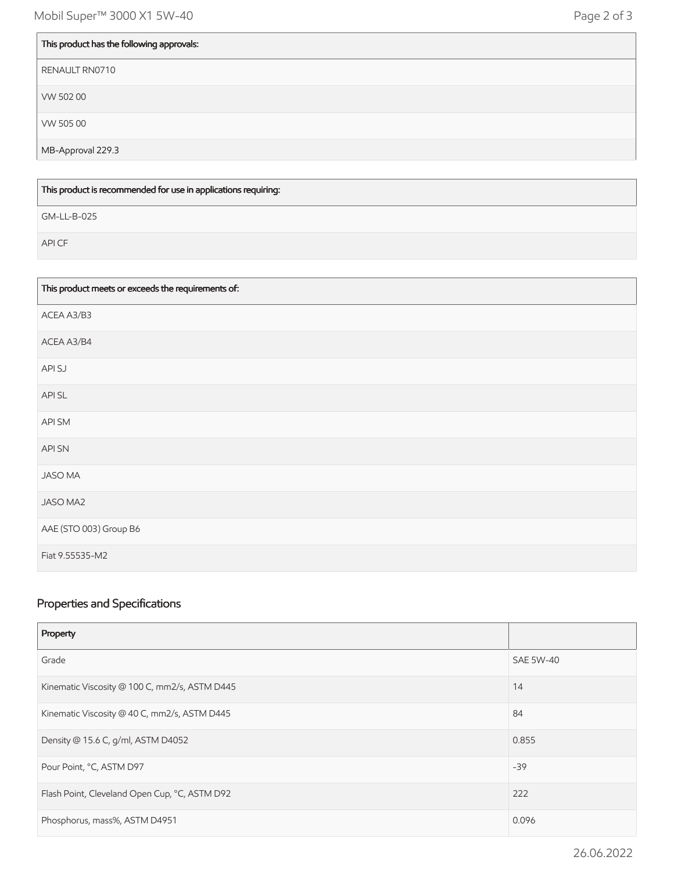| This product has the following approvals: |
|-------------------------------------------|
| RENAULT RN0710                            |
| VW 50200                                  |
| VW 505 00                                 |
| MB-Approval 229.3                         |

This product is recommended for use in applications requiring:

GM-LL-B-025

API CF

| This product meets or exceeds the requirements of: |
|----------------------------------------------------|
| ACEA A3/B3                                         |
| ACEA A3/B4                                         |
| API SJ                                             |
| API SL                                             |
| API SM                                             |
| API SN                                             |
| <b>JASO MA</b>                                     |
| JASO MA2                                           |
| AAE (STO 003) Group B6                             |
| Fiat 9.55535-M2                                    |

## Properties and Specifications

| Property                                      |                  |
|-----------------------------------------------|------------------|
| Grade                                         | <b>SAE 5W-40</b> |
| Kinematic Viscosity @ 100 C, mm2/s, ASTM D445 | 14               |
| Kinematic Viscosity @ 40 C, mm2/s, ASTM D445  | 84               |
| Density @ 15.6 C, g/ml, ASTM D4052            | 0.855            |
| Pour Point, °C, ASTM D97                      | $-39$            |
| Flash Point, Cleveland Open Cup, °C, ASTM D92 | 222              |
| Phosphorus, mass%, ASTM D4951                 | 0.096            |